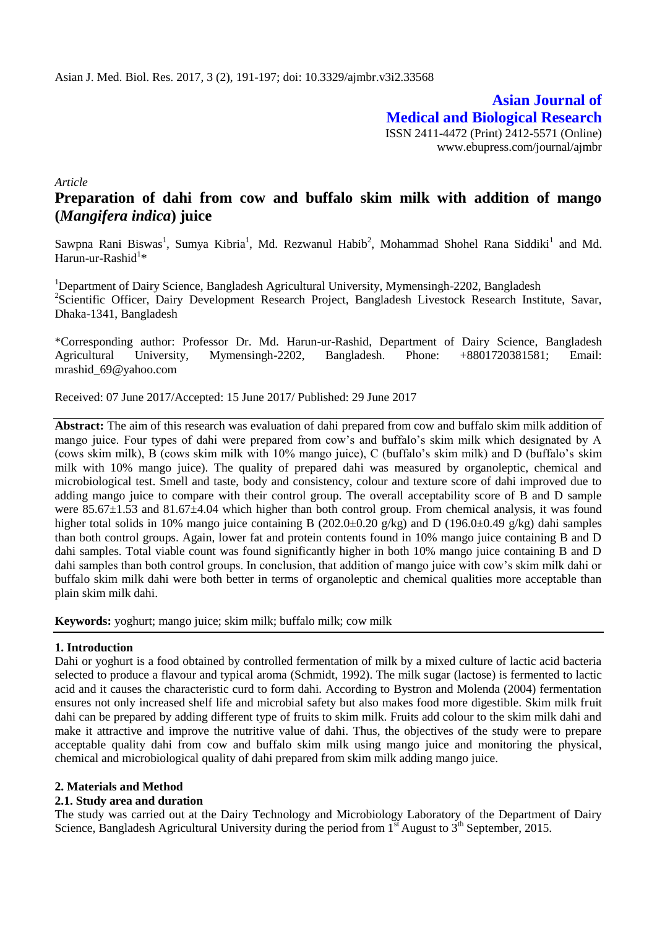**Asian Journal of Medical and Biological Research** ISSN 2411-4472 (Print) 2412-5571 (Online) www.ebupress.com/journal/ajmbr

*Article*

# **Preparation of dahi from cow and buffalo skim milk with addition of mango (***Mangifera indica***) juice**

Sawpna Rani Biswas<sup>1</sup>, Sumya Kibria<sup>1</sup>, Md. Rezwanul Habib<sup>2</sup>, Mohammad Shohel Rana Siddiki<sup>1</sup> and Md. Harun-ur-Rashid $1*$ 

<sup>1</sup>Department of Dairy Science, Bangladesh Agricultural University, Mymensingh-2202, Bangladesh <sup>2</sup>Scientific Officer, Dairy Development Research Project, Bangladesh Livestock Research Institute, Savar, Dhaka-1341, Bangladesh

\*Corresponding author: Professor Dr. Md. Harun-ur-Rashid, Department of Dairy Science, Bangladesh Agricultural University, Mymensingh-2202, Bangladesh. Phone: +8801720381581; Email: mrashid\_69@yahoo.com

Received: 07 June 2017/Accepted: 15 June 2017/ Published: 29 June 2017

**Abstract:** The aim of this research was evaluation of dahi prepared from cow and buffalo skim milk addition of mango juice. Four types of dahi were prepared from cow's and buffalo's skim milk which designated by A (cows skim milk), B (cows skim milk with 10% mango juice), C (buffalo's skim milk) and D (buffalo's skim milk with 10% mango juice). The quality of prepared dahi was measured by organoleptic, chemical and microbiological test. Smell and taste, body and consistency, colour and texture score of dahi improved due to adding mango juice to compare with their control group. The overall acceptability score of B and D sample were  $85.67\pm1.53$  and  $81.67\pm4.04$  which higher than both control group. From chemical analysis, it was found higher total solids in 10% mango juice containing B (202.0±0.20 g/kg) and D (196.0±0.49 g/kg) dahi samples than both control groups. Again, lower fat and protein contents found in 10% mango juice containing B and D dahi samples. Total viable count was found significantly higher in both 10% mango juice containing B and D dahi samples than both control groups. In conclusion, that addition of mango juice with cow's skim milk dahi or buffalo skim milk dahi were both better in terms of organoleptic and chemical qualities more acceptable than plain skim milk dahi.

**Keywords:** yoghurt; mango juice; skim milk; buffalo milk; cow milk

### **1. Introduction**

Dahi or yoghurt is a food obtained by controlled fermentation of milk by a mixed culture of lactic acid bacteria selected to produce a flavour and typical aroma (Schmidt, 1992). The milk sugar (lactose) is fermented to lactic acid and it causes the characteristic curd to form dahi. According to Bystron and Molenda (2004) fermentation ensures not only increased shelf life and microbial safety but also makes food more digestible. Skim milk fruit dahi can be prepared by adding different type of fruits to skim milk. Fruits add colour to the skim milk dahi and make it attractive and improve the nutritive value of dahi. Thus, the objectives of the study were to prepare acceptable quality dahi from cow and buffalo skim milk using mango juice and monitoring the physical, chemical and microbiological quality of dahi prepared from skim milk adding mango juice.

#### **2. Materials and Method**

### **2.1. Study area and duration**

The study was carried out at the Dairy Technology and Microbiology Laboratory of the Department of Dairy Science, Bangladesh Agricultural University during the period from  $1<sup>st</sup>$  August to  $3<sup>th</sup>$  September, 2015.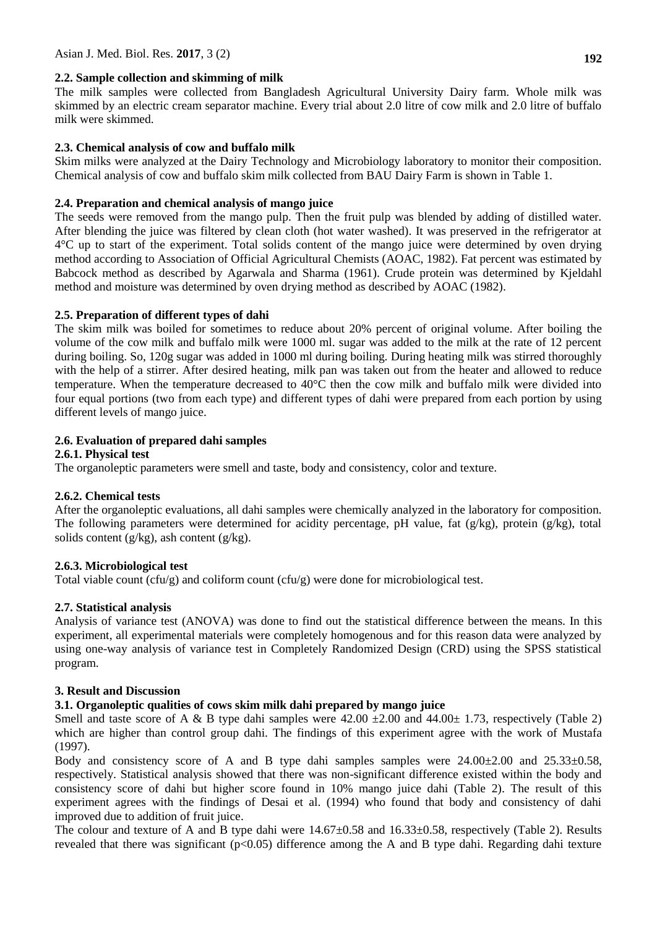### **2.2. Sample collection and skimming of milk**

The milk samples were collected from Bangladesh Agricultural University Dairy farm. Whole milk was skimmed by an electric cream separator machine. Every trial about 2.0 litre of cow milk and 2.0 litre of buffalo milk were skimmed.

### **2.3. Chemical analysis of cow and buffalo milk**

Skim milks were analyzed at the Dairy Technology and Microbiology laboratory to monitor their composition. Chemical analysis of cow and buffalo skim milk collected from BAU Dairy Farm is shown in Table 1.

### **2.4. Preparation and chemical analysis of mango juice**

The seeds were removed from the mango pulp. Then the fruit pulp was blended by adding of distilled water. After blending the juice was filtered by clean cloth (hot water washed). It was preserved in the refrigerator at 4°C up to start of the experiment. Total solids content of the mango juice were determined by oven drying method according to Association of Official Agricultural Chemists (AOAC, 1982). Fat percent was estimated by Babcock method as described by Agarwala and Sharma (1961). Crude protein was determined by Kjeldahl method and moisture was determined by oven drying method as described by AOAC (1982).

## **2.5. Preparation of different types of dahi**

The skim milk was boiled for sometimes to reduce about 20% percent of original volume. After boiling the volume of the cow milk and buffalo milk were 1000 ml. sugar was added to the milk at the rate of 12 percent during boiling. So, 120g sugar was added in 1000 ml during boiling. During heating milk was stirred thoroughly with the help of a stirrer. After desired heating, milk pan was taken out from the heater and allowed to reduce temperature. When the temperature decreased to 40°C then the cow milk and buffalo milk were divided into four equal portions (two from each type) and different types of dahi were prepared from each portion by using different levels of mango juice.

### **2.6. Evaluation of prepared dahi samples**

### **2.6.1. Physical test**

The organoleptic parameters were smell and taste, body and consistency, color and texture.

### **2.6.2. Chemical tests**

After the organoleptic evaluations, all dahi samples were chemically analyzed in the laboratory for composition. The following parameters were determined for acidity percentage, pH value, fat (g/kg), protein (g/kg), total solids content ( $g/kg$ ), ash content ( $g/kg$ ).

### **2.6.3. Microbiological test**

Total viable count (cfu/g) and coliform count (cfu/g) were done for microbiological test.

## **2.7. Statistical analysis**

Analysis of variance test (ANOVA) was done to find out the statistical difference between the means. In this experiment, all experimental materials were completely homogenous and for this reason data were analyzed by using one-way analysis of variance test in Completely Randomized Design (CRD) using the SPSS statistical program.

## **3. Result and Discussion**

### **3.1. Organoleptic qualities of cows skim milk dahi prepared by mango juice**

Smell and taste score of A & B type dahi samples were  $42.00 \pm 2.00$  and  $44.00 \pm 1.73$ , respectively (Table 2) which are higher than control group dahi. The findings of this experiment agree with the work of Mustafa (1997).

Body and consistency score of A and B type dahi samples samples were  $24.00\pm2.00$  and  $25.33\pm0.58$ , respectively. Statistical analysis showed that there was non-significant difference existed within the body and consistency score of dahi but higher score found in 10% mango juice dahi (Table 2). The result of this experiment agrees with the findings of Desai et al. (1994) who found that body and consistency of dahi improved due to addition of fruit juice.

The colour and texture of A and B type dahi were  $14.67\pm0.58$  and  $16.33\pm0.58$ , respectively (Table 2). Results revealed that there was significant (p<0.05) difference among the A and B type dahi. Regarding dahi texture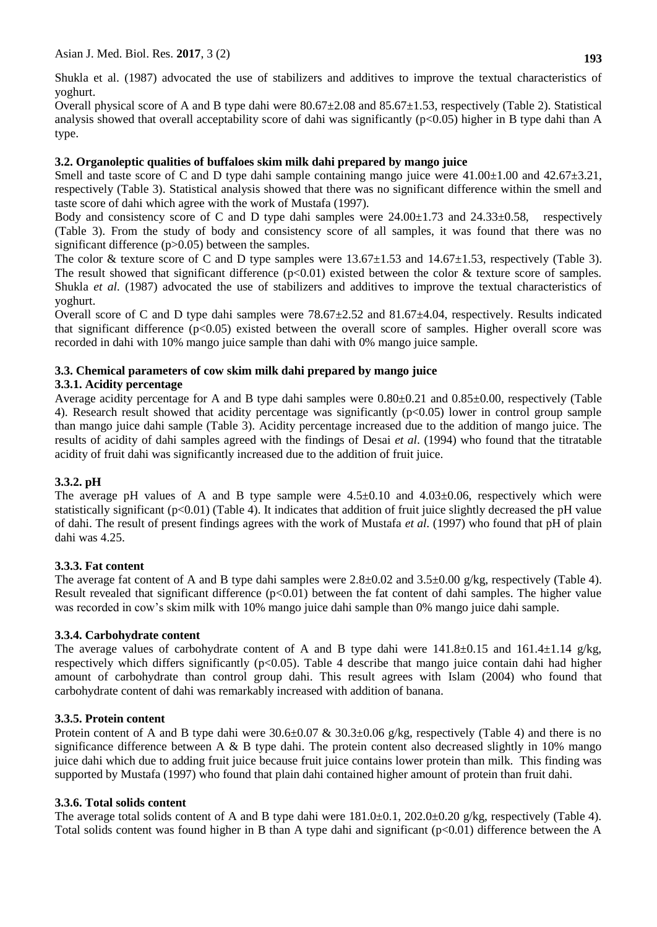Shukla et al. (1987) advocated the use of stabilizers and additives to improve the textual characteristics of yoghurt.

Overall physical score of A and B type dahi were  $80.67\pm2.08$  and  $85.67\pm1.53$ , respectively (Table 2). Statistical analysis showed that overall acceptability score of dahi was significantly ( $p<0.05$ ) higher in B type dahi than A type.

## **3.2. Organoleptic qualities of buffaloes skim milk dahi prepared by mango juice**

Smell and taste score of C and D type dahi sample containing mango juice were  $41.00\pm1.00$  and  $42.67\pm3.21$ , respectively (Table 3). Statistical analysis showed that there was no significant difference within the smell and taste score of dahi which agree with the work of Mustafa (1997).

Body and consistency score of C and D type dahi samples were  $24.00 \pm 1.73$  and  $24.33 \pm 0.58$ , respectively (Table 3). From the study of body and consistency score of all samples, it was found that there was no significant difference (p>0.05) between the samples.

The color & texture score of C and D type samples were  $13.67 \pm 1.53$  and  $14.67 \pm 1.53$ , respectively (Table 3). The result showed that significant difference  $(p<0.01)$  existed between the color & texture score of samples. Shukla *et al.* (1987) advocated the use of stabilizers and additives to improve the textual characteristics of yoghurt.

Overall score of C and D type dahi samples were 78.67±2.52 and 81.67±4.04, respectively. Results indicated that significant difference  $(p<0.05)$  existed between the overall score of samples. Higher overall score was recorded in dahi with 10% mango juice sample than dahi with 0% mango juice sample.

## **3.3. Chemical parameters of cow skim milk dahi prepared by mango juice**

## **3.3.1. Acidity percentage**

Average acidity percentage for A and B type dahi samples were 0.80±0.21 and 0.85±0.00, respectively (Table 4). Research result showed that acidity percentage was significantly  $(p<0.05)$  lower in control group sample than mango juice dahi sample (Table 3). Acidity percentage increased due to the addition of mango juice. The results of acidity of dahi samples agreed with the findings of Desai *et al*. (1994) who found that the titratable acidity of fruit dahi was significantly increased due to the addition of fruit juice.

# **3.3.2. pH**

The average pH values of A and B type sample were  $4.5\pm0.10$  and  $4.03\pm0.06$ , respectively which were statistically significant ( $p<0.01$ ) (Table 4). It indicates that addition of fruit juice slightly decreased the pH value of dahi. The result of present findings agrees with the work of Mustafa *et al.* (1997) who found that pH of plain dahi was 4.25.

# **3.3.3. Fat content**

The average fat content of A and B type dahi samples were 2.8 $\pm$ 0.02 and 3.5 $\pm$ 0.00 g/kg, respectively (Table 4). Result revealed that significant difference  $(p<0.01)$  between the fat content of dahi samples. The higher value was recorded in cow's skim milk with 10% mango juice dahi sample than 0% mango juice dahi sample.

## **3.3.4. Carbohydrate content**

The average values of carbohydrate content of A and B type dahi were  $141.8\pm0.15$  and  $161.4\pm1.14$  g/kg, respectively which differs significantly (p<0.05). Table 4 describe that mango juice contain dahi had higher amount of carbohydrate than control group dahi. This result agrees with Islam (2004) who found that carbohydrate content of dahi was remarkably increased with addition of banana.

# **3.3.5. Protein content**

Protein content of A and B type dahi were  $30.6\pm0.07 \& 30.3\pm0.06$  g/kg, respectively (Table 4) and there is no significance difference between A  $\&$  B type dahi. The protein content also decreased slightly in 10% mango juice dahi which due to adding fruit juice because fruit juice contains lower protein than milk. This finding was supported by Mustafa (1997) who found that plain dahi contained higher amount of protein than fruit dahi.

# **3.3.6. Total solids content**

The average total solids content of A and B type dahi were  $181.0\pm0.1$ ,  $202.0\pm0.20$  g/kg, respectively (Table 4). Total solids content was found higher in B than A type dahi and significant  $(p<0.01)$  difference between the A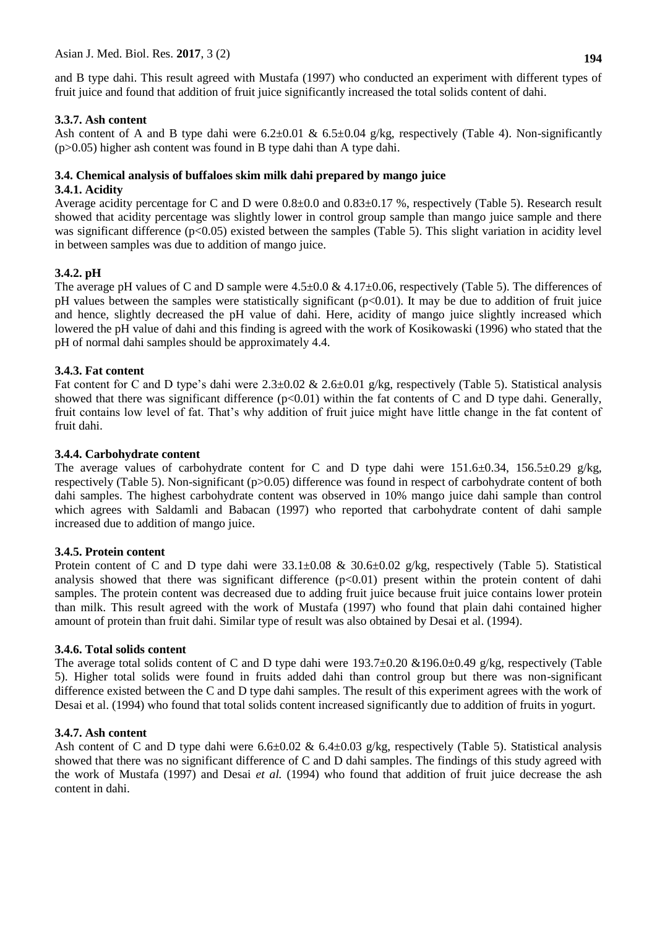and B type dahi. This result agreed with Mustafa (1997) who conducted an experiment with different types of fruit juice and found that addition of fruit juice significantly increased the total solids content of dahi.

### **3.3.7. Ash content**

Ash content of A and B type dahi were  $6.2\pm0.01$  &  $6.5\pm0.04$  g/kg, respectively (Table 4). Non-significantly (p>0.05) higher ash content was found in B type dahi than A type dahi.

# **3.4. Chemical analysis of buffaloes skim milk dahi prepared by mango juice**

#### **3.4.1. Acidity**

Average acidity percentage for C and D were  $0.8\pm0.0$  and  $0.83\pm0.17$  %, respectively (Table 5). Research result showed that acidity percentage was slightly lower in control group sample than mango juice sample and there was significant difference (p<0.05) existed between the samples (Table 5). This slight variation in acidity level in between samples was due to addition of mango juice.

### **3.4.2. pH**

The average pH values of C and D sample were  $4.5\pm0.0 \& 4.17\pm0.06$ , respectively (Table 5). The differences of pH values between the samples were statistically significant  $(p<0.01)$ . It may be due to addition of fruit juice and hence, slightly decreased the pH value of dahi. Here, acidity of mango juice slightly increased which lowered the pH value of dahi and this finding is agreed with the work of Kosikowaski (1996) who stated that the pH of normal dahi samples should be approximately 4.4.

### **3.4.3. Fat content**

Fat content for C and D type's dahi were  $2.3\pm0.02 \& 2.6\pm0.01$  g/kg, respectively (Table 5). Statistical analysis showed that there was significant difference ( $p<0.01$ ) within the fat contents of C and D type dahi. Generally, fruit contains low level of fat. That's why addition of fruit juice might have little change in the fat content of fruit dahi.

### **3.4.4. Carbohydrate content**

The average values of carbohydrate content for C and D type dahi were 151.6±0.34, 156.5±0.29 g/kg, respectively (Table 5). Non-significant (p>0.05) difference was found in respect of carbohydrate content of both dahi samples. The highest carbohydrate content was observed in 10% mango juice dahi sample than control which agrees with Saldamli and Babacan (1997) who reported that carbohydrate content of dahi sample increased due to addition of mango juice.

### **3.4.5. Protein content**

Protein content of C and D type dahi were  $33.1 \pm 0.08 \& 30.6 \pm 0.02$  g/kg, respectively (Table 5). Statistical analysis showed that there was significant difference  $(p<0.01)$  present within the protein content of dahi samples. The protein content was decreased due to adding fruit juice because fruit juice contains lower protein than milk. This result agreed with the work of Mustafa (1997) who found that plain dahi contained higher amount of protein than fruit dahi. Similar type of result was also obtained by Desai et al. (1994).

### **3.4.6. Total solids content**

The average total solids content of C and D type dahi were  $193.7\pm0.20$  &196.0 $\pm0.49$  g/kg, respectively (Table 5). Higher total solids were found in fruits added dahi than control group but there was non-significant difference existed between the C and D type dahi samples. The result of this experiment agrees with the work of Desai et al. (1994) who found that total solids content increased significantly due to addition of fruits in yogurt.

### **3.4.7. Ash content**

Ash content of C and D type dahi were  $6.6\pm0.02 \& 6.4\pm0.03$  g/kg, respectively (Table 5). Statistical analysis showed that there was no significant difference of C and D dahi samples. The findings of this study agreed with the work of Mustafa (1997) and Desai *et al.* (1994) who found that addition of fruit juice decrease the ash content in dahi.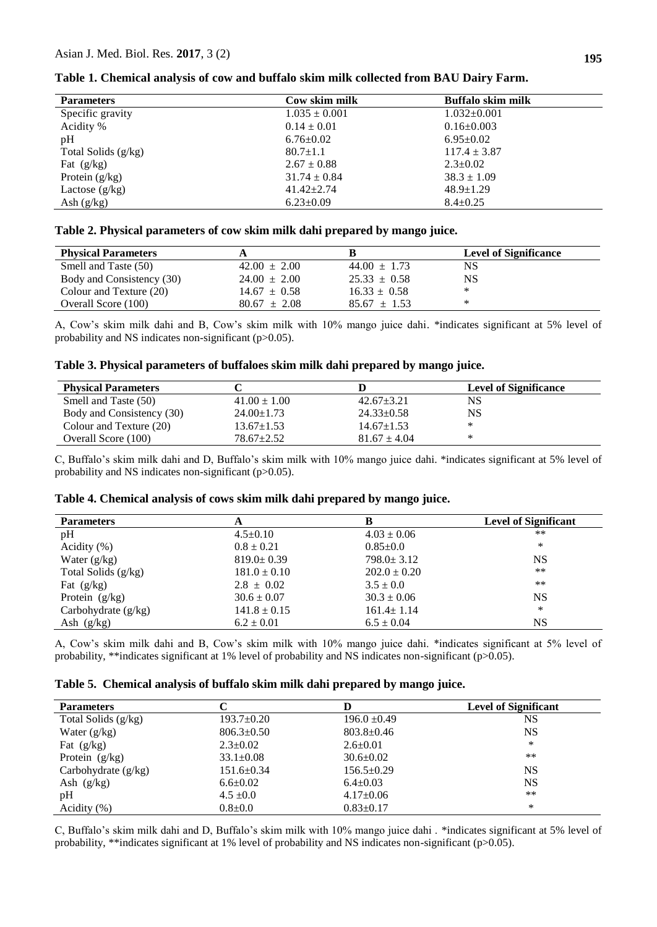| <b>Parameters</b>     | Cow skim milk     | Buffalo skim milk |
|-----------------------|-------------------|-------------------|
| Specific gravity      | $1.035 \pm 0.001$ | $1.032 \pm 0.001$ |
| Acidity %             | $0.14 \pm 0.01$   | $0.16 \pm 0.003$  |
| pH                    | $6.76 \pm 0.02$   | $6.95 \pm 0.02$   |
| Total Solids $(g/kg)$ | $80.7 \pm 1.1$    | $117.4 \pm 3.87$  |
| Fat $(g/kg)$          | $2.67 \pm 0.88$   | $2.3 \pm 0.02$    |
| Protein $(g/kg)$      | $31.74 \pm 0.84$  | $38.3 \pm 1.09$   |
| Lactose $(g/kg)$      | $41.42 \pm 2.74$  | $48.9 \pm 1.29$   |
| Ash $(g/kg)$          | $6.23 \pm 0.09$   | $8.4 \pm 0.25$    |

**Table 1. Chemical analysis of cow and buffalo skim milk collected from BAU Dairy Farm.**

#### **Table 2. Physical parameters of cow skim milk dahi prepared by mango juice.**

| <b>Physical Parameters</b> |                  |                  | <b>Level of Significance</b> |
|----------------------------|------------------|------------------|------------------------------|
| Smell and Taste (50)       | $42.00 \pm 2.00$ | $44.00 \pm 1.73$ | NS                           |
| Body and Consistency (30)  | $24.00 \pm 2.00$ | $25.33 \pm 0.58$ | NS                           |
| Colour and Texture (20)    | $14.67 \pm 0.58$ | $16.33 \pm 0.58$ | ∗                            |
| Overall Score (100)        | $80.67 \pm 2.08$ | $85.67 \pm 1.53$ | ∗                            |

A, Cow's skim milk dahi and B, Cow's skim milk with 10% mango juice dahi. \*indicates significant at 5% level of probability and NS indicates non-significant (p>0.05).

**Table 3. Physical parameters of buffaloes skim milk dahi prepared by mango juice.**

| <b>Physical Parameters</b> |                  |                  | <b>Level of Significance</b> |
|----------------------------|------------------|------------------|------------------------------|
| Smell and Taste (50)       | $41.00 \pm 1.00$ | $42.67 \pm 3.21$ | NS                           |
| Body and Consistency (30)  | $24.00 \pm 1.73$ | $24.33 \pm 0.58$ | NS                           |
| Colour and Texture (20)    | $13.67 \pm 1.53$ | $14.67 \pm 1.53$ | ∗                            |
| Overall Score (100)        | $78.67 + 2.52$   | $81.67 \pm 4.04$ | ∗                            |

C, Buffalo's skim milk dahi and D, Buffalo's skim milk with 10% mango juice dahi. \*indicates significant at 5% level of probability and NS indicates non-significant (p>0.05).

| Table 4. Chemical analysis of cows skim milk dahi prepared by mango juice. |  |  |  |
|----------------------------------------------------------------------------|--|--|--|
|----------------------------------------------------------------------------|--|--|--|

| <b>Parameters</b>     | A                |                  | <b>Level of Significant</b> |
|-----------------------|------------------|------------------|-----------------------------|
| pH                    | $4.5 \pm 0.10$   | $4.03 \pm 0.06$  | $***$                       |
| Acidity $(\%)$        | $0.8 \pm 0.21$   | $0.85 \pm 0.0$   | *                           |
| Water $(g/kg)$        | $819.0 \pm 0.39$ | $798.0 \pm 3.12$ | <b>NS</b>                   |
| Total Solids $(g/kg)$ | $181.0 \pm 0.10$ | $202.0 \pm 0.20$ | $***$                       |
| Fat $(g/kg)$          | $2.8 \pm 0.02$   | $3.5 \pm 0.0$    | $***$                       |
| Protein $(g/kg)$      | $30.6 \pm 0.07$  | $30.3 \pm 0.06$  | <b>NS</b>                   |
| Carbohydrate $(g/kg)$ | $141.8 \pm 0.15$ | $161.4 \pm 1.14$ | ∗                           |
| Ash $(g/kg)$          | $6.2 \pm 0.01$   | $6.5 \pm 0.04$   | <b>NS</b>                   |

A, Cow's skim milk dahi and B, Cow's skim milk with 10% mango juice dahi. \*indicates significant at 5% level of probability, \*\*indicates significant at 1% level of probability and NS indicates non-significant (p>0.05).

|  |  |  | Table 5. Chemical analysis of buffalo skim milk dahi prepared by mango juice. |  |  |
|--|--|--|-------------------------------------------------------------------------------|--|--|
|--|--|--|-------------------------------------------------------------------------------|--|--|

| <b>Parameters</b>     |                  |                  | <b>Level of Significant</b> |
|-----------------------|------------------|------------------|-----------------------------|
| Total Solids (g/kg)   | $193.7 \pm 0.20$ | $196.0 \pm 0.49$ | NS                          |
| Water $(g/kg)$        | $806.3 \pm 0.50$ | $803.8 \pm 0.46$ | NS                          |
| Fat $(g/kg)$          | $2.3 \pm 0.02$   | $2.6 \pm 0.01$   | *                           |
| Protein $(g/kg)$      | $33.1 \pm 0.08$  | $30.6 \pm 0.02$  | $***$                       |
| Carbohydrate $(g/kg)$ | $151.6 \pm 0.34$ | $156.5 \pm 0.29$ | NS                          |
| Ash $(g/kg)$          | $6.6 \pm 0.02$   | $6.4 \pm 0.03$   | NS                          |
| pH                    | $4.5 \pm 0.0$    | $4.17 \pm 0.06$  | $***$                       |
| Acidity $(\% )$       | $0.8{\pm}0.0$    | $0.83 \pm 0.17$  | *                           |

C, Buffalo's skim milk dahi and D, Buffalo's skim milk with 10% mango juice dahi . \*indicates significant at 5% level of probability, \*\*indicates significant at 1% level of probability and NS indicates non-significant (p>0.05).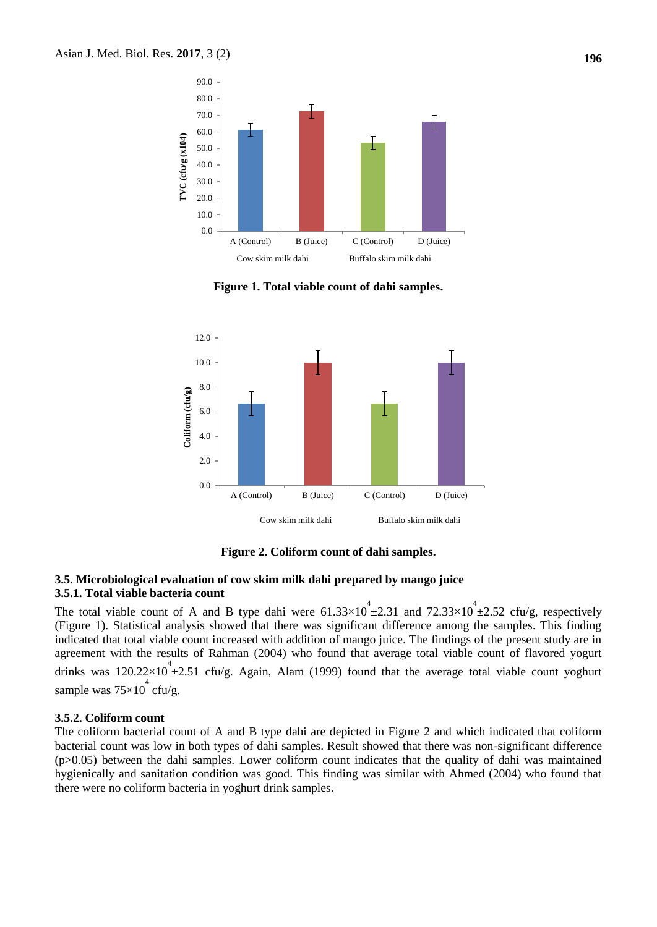

**Figure 1. Total viable count of dahi samples.**



**Figure 2. Coliform count of dahi samples.**

#### **3.5. Microbiological evaluation of cow skim milk dahi prepared by mango juice 3.5.1. Total viable bacteria count**

The total viable count of A and B type dahi were  $61.33 \times 10^{4} \pm 2.31$  and  $72.33 \times 10^{4} \pm 2.52$  cfu/g, respectively (Figure 1). Statistical analysis showed that there was significant difference among the samples. This finding indicated that total viable count increased with addition of mango juice. The findings of the present study are in agreement with the results of Rahman (2004) who found that average total viable count of flavored yogurt drinks was  $120.22 \times 10^4 \pm 2.51$  cfu/g. Again, Alam (1999) found that the average total viable count yoghurt sample was  $75\times10^4$  cfu/g.

#### **3.5.2. Coliform count**

The coliform bacterial count of A and B type dahi are depicted in Figure 2 and which indicated that coliform bacterial count was low in both types of dahi samples. Result showed that there was non-significant difference (p>0.05) between the dahi samples. Lower coliform count indicates that the quality of dahi was maintained hygienically and sanitation condition was good. This finding was similar with Ahmed (2004) who found that there were no coliform bacteria in yoghurt drink samples.